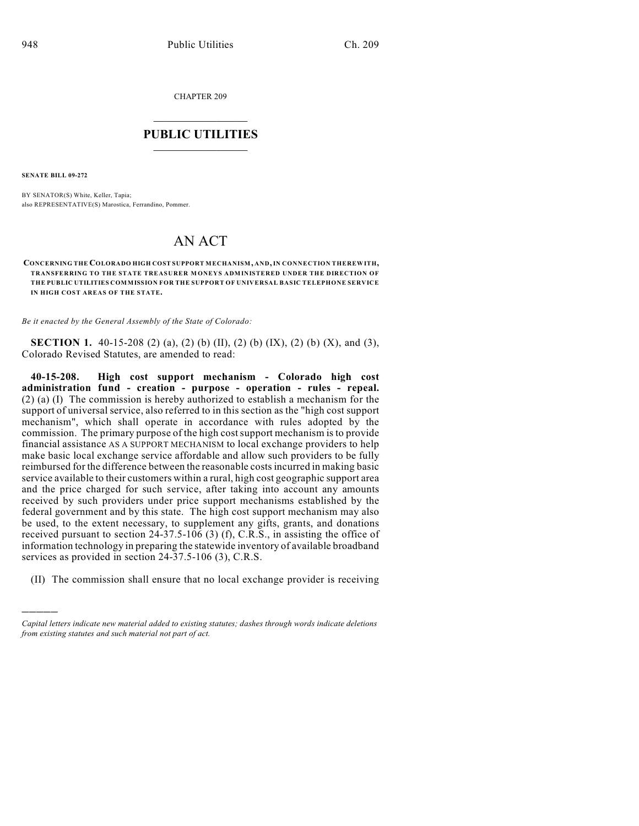CHAPTER 209

## $\mathcal{L}_\text{max}$  . The set of the set of the set of the set of the set of the set of the set of the set of the set of the set of the set of the set of the set of the set of the set of the set of the set of the set of the set **PUBLIC UTILITIES** \_\_\_\_\_\_\_\_\_\_\_\_\_\_\_

**SENATE BILL 09-272**

)))))

BY SENATOR(S) White, Keller, Tapia; also REPRESENTATIVE(S) Marostica, Ferrandino, Pommer.

## AN ACT

**CONCERNING THE COLORADO HIGH COST SUPPORT MECHANISM, AND, IN CONNECTION THEREWITH, TRANSFERRING TO THE STATE TREASURER M ONEYS ADMINISTERED UNDER THE DIRECTION OF THE PUBLIC UTILITIES COMMISSION FOR THE SUPPORT OF UNIVERSAL BASIC TELEPHONE SERVICE IN HIGH COST AREAS OF THE STATE.**

*Be it enacted by the General Assembly of the State of Colorado:*

**SECTION 1.** 40-15-208 (2) (a), (2) (b) (II), (2) (b) (IX), (2) (b) (X), and (3), Colorado Revised Statutes, are amended to read:

**40-15-208. High cost support mechanism - Colorado high cost administration fund - creation - purpose - operation - rules - repeal.** (2) (a) (I) The commission is hereby authorized to establish a mechanism for the support of universal service, also referred to in this section as the "high cost support mechanism", which shall operate in accordance with rules adopted by the commission. The primary purpose of the high costsupport mechanism is to provide financial assistance AS A SUPPORT MECHANISM to local exchange providers to help make basic local exchange service affordable and allow such providers to be fully reimbursed for the difference between the reasonable costsincurred in making basic service available to their customers within a rural, high cost geographic support area and the price charged for such service, after taking into account any amounts received by such providers under price support mechanisms established by the federal government and by this state. The high cost support mechanism may also be used, to the extent necessary, to supplement any gifts, grants, and donations received pursuant to section 24-37.5-106 (3) (f), C.R.S., in assisting the office of information technology in preparing the statewide inventory of available broadband services as provided in section 24-37.5-106 (3), C.R.S.

(II) The commission shall ensure that no local exchange provider is receiving

*Capital letters indicate new material added to existing statutes; dashes through words indicate deletions from existing statutes and such material not part of act.*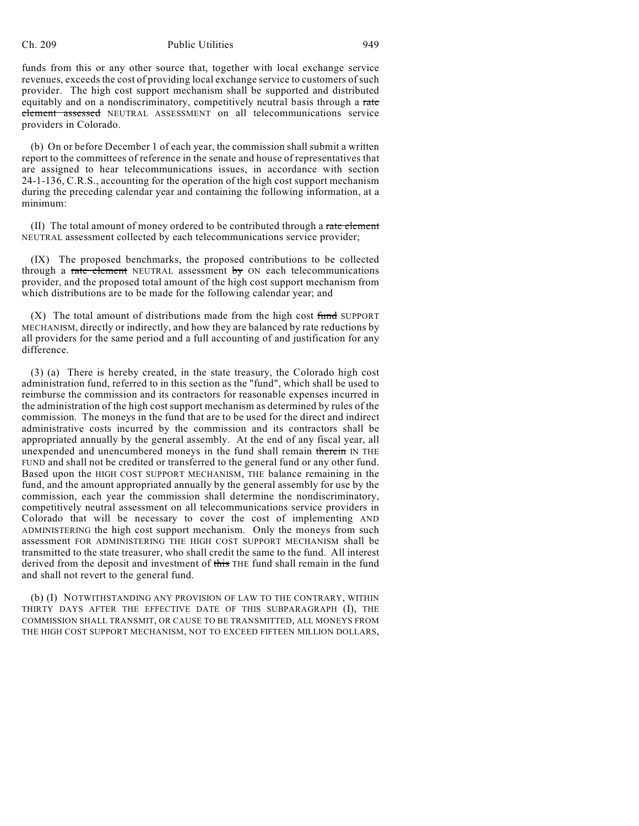## Ch. 209 Public Utilities 949

funds from this or any other source that, together with local exchange service revenues, exceeds the cost of providing local exchange service to customers of such provider. The high cost support mechanism shall be supported and distributed equitably and on a nondiscriminatory, competitively neutral basis through a rate element assessed NEUTRAL ASSESSMENT on all telecommunications service providers in Colorado.

(b) On or before December 1 of each year, the commission shall submit a written report to the committees of reference in the senate and house of representatives that are assigned to hear telecommunications issues, in accordance with section 24-1-136, C.R.S., accounting for the operation of the high cost support mechanism during the preceding calendar year and containing the following information, at a minimum:

(II) The total amount of money ordered to be contributed through a rate element NEUTRAL assessment collected by each telecommunications service provider;

(IX) The proposed benchmarks, the proposed contributions to be collected through a rate element NEUTRAL assessment  $by$  ON each telecommunications provider, and the proposed total amount of the high cost support mechanism from which distributions are to be made for the following calendar year; and

 $(X)$  The total amount of distributions made from the high cost fund SUPPORT MECHANISM, directly or indirectly, and how they are balanced by rate reductions by all providers for the same period and a full accounting of and justification for any difference.

(3) (a) There is hereby created, in the state treasury, the Colorado high cost administration fund, referred to in this section as the "fund", which shall be used to reimburse the commission and its contractors for reasonable expenses incurred in the administration of the high cost support mechanism as determined by rules of the commission. The moneys in the fund that are to be used for the direct and indirect administrative costs incurred by the commission and its contractors shall be appropriated annually by the general assembly. At the end of any fiscal year, all unexpended and unencumbered moneys in the fund shall remain therein IN THE FUND and shall not be credited or transferred to the general fund or any other fund. Based upon the HIGH COST SUPPORT MECHANISM, THE balance remaining in the fund, and the amount appropriated annually by the general assembly for use by the commission, each year the commission shall determine the nondiscriminatory, competitively neutral assessment on all telecommunications service providers in Colorado that will be necessary to cover the cost of implementing AND ADMINISTERING the high cost support mechanism. Only the moneys from such assessment FOR ADMINISTERING THE HIGH COST SUPPORT MECHANISM shall be transmitted to the state treasurer, who shall credit the same to the fund. All interest derived from the deposit and investment of this THE fund shall remain in the fund and shall not revert to the general fund.

(b) (I) NOTWITHSTANDING ANY PROVISION OF LAW TO THE CONTRARY, WITHIN THIRTY DAYS AFTER THE EFFECTIVE DATE OF THIS SUBPARAGRAPH (I), THE COMMISSION SHALL TRANSMIT, OR CAUSE TO BE TRANSMITTED, ALL MONEYS FROM THE HIGH COST SUPPORT MECHANISM, NOT TO EXCEED FIFTEEN MILLION DOLLARS,